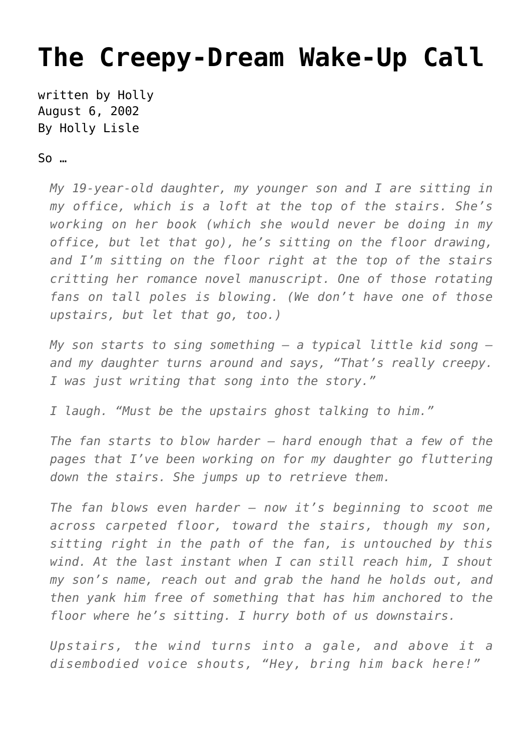## **[The Creepy-Dream Wake-Up Call](https://hollylisle.com/the-creepy-dream-wake-up-call/)**

written by Holly August 6, 2002 [By Holly Lisle](https://hollylisle.com)

So …

*My 19-year-old daughter, my younger son and I are sitting in my office, which is a loft at the top of the stairs. She's working on her book (which she would never be doing in my office, but let that go), he's sitting on the floor drawing, and I'm sitting on the floor right at the top of the stairs critting her romance novel manuscript. One of those rotating fans on tall poles is blowing. (We don't have one of those upstairs, but let that go, too.)*

*My son starts to sing something — a typical little kid song and my daughter turns around and says, "That's really creepy. I was just writing that song into the story."*

*I laugh. "Must be the upstairs ghost talking to him."*

*The fan starts to blow harder — hard enough that a few of the pages that I've been working on for my daughter go fluttering down the stairs. She jumps up to retrieve them.*

*The fan blows even harder — now it's beginning to scoot me across carpeted floor, toward the stairs, though my son, sitting right in the path of the fan, is untouched by this wind. At the last instant when I can still reach him, I shout my son's name, reach out and grab the hand he holds out, and then yank him free of something that has him anchored to the floor where he's sitting. I hurry both of us downstairs.*

*Upstairs, the wind turns into a gale, and above it a disembodied voice shouts, "Hey, bring him back here!"*